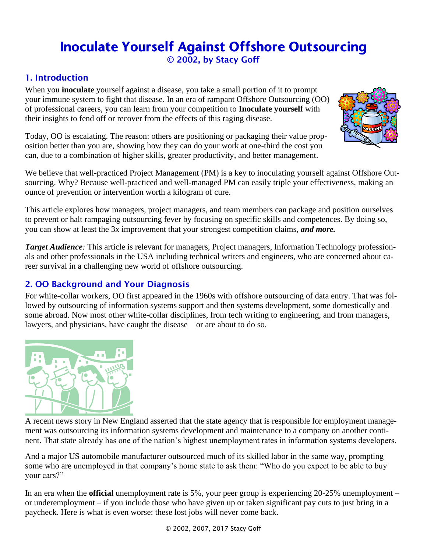# Inoculate Yourself Against Offshore Outsourcing © 2002, by Stacy Goff

# 1. Introduction

When you **inoculate** yourself against a disease, you take a small portion of it to prompt your immune system to fight that disease. In an era of rampant Offshore Outsourcing (OO) of professional careers, you can learn from your competition to **Inoculate yourself** with their insights to fend off or recover from the effects of this raging disease.



Today, OO is escalating. The reason: others are positioning or packaging their value proposition better than you are, showing how they can do your work at one-third the cost you can, due to a combination of higher skills, greater productivity, and better management.

We believe that well-practiced Project Management (PM) is a key to inoculating yourself against Offshore Outsourcing. Why? Because well-practiced and well-managed PM can easily triple your effectiveness, making an ounce of prevention or intervention worth a kilogram of cure.

This article explores how managers, project managers, and team members can package and position ourselves to prevent or halt rampaging outsourcing fever by focusing on specific skills and competences. By doing so, you can show at least the 3x improvement that your strongest competition claims, *and more.*

*Target Audience:* This article is relevant for managers, Project managers, Information Technology professionals and other professionals in the USA including technical writers and engineers, who are concerned about career survival in a challenging new world of offshore outsourcing.

# 2. OO Background and Your Diagnosis

For white-collar workers, OO first appeared in the 1960s with offshore outsourcing of data entry. That was followed by outsourcing of information systems support and then systems development, some domestically and some abroad. Now most other white-collar disciplines, from tech writing to engineering, and from managers, lawyers, and physicians, have caught the disease—or are about to do so.



A recent news story in New England asserted that the state agency that is responsible for employment management was outsourcing its information systems development and maintenance to a company on another continent. That state already has one of the nation's highest unemployment rates in information systems developers.

And a major US automobile manufacturer outsourced much of its skilled labor in the same way, prompting some who are unemployed in that company's home state to ask them: "Who do you expect to be able to buy your cars?"

In an era when the **official** unemployment rate is 5%, your peer group is experiencing 20-25% unemployment – or underemployment – if you include those who have given up or taken significant pay cuts to just bring in a paycheck. Here is what is even worse: these lost jobs will never come back.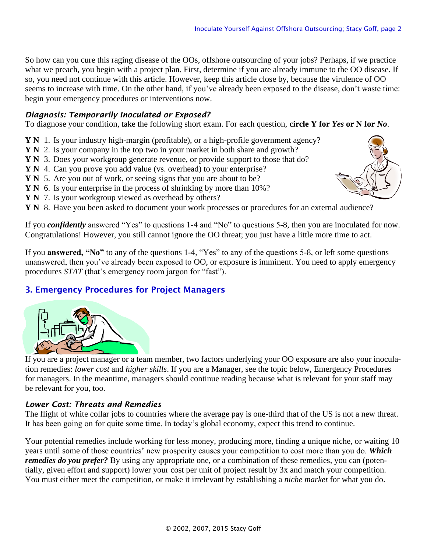So how can you cure this raging disease of the OOs, offshore outsourcing of your jobs? Perhaps, if we practice what we preach, you begin with a project plan. First, determine if you are already immune to the OO disease. If so, you need not continue with this article. However, keep this article close by, because the virulence of OO seems to increase with time. On the other hand, if you've already been exposed to the disease, don't waste time: begin your emergency procedures or interventions now.

# *Diagnosis: Temporarily Inoculated or Exposed?*

To diagnose your condition, take the following short exam. For each question, **circle Y for** *Yes* **or N for** *No*.

- **Y N** 1. Is your industry high-margin (profitable), or a high-profile government agency?
- **Y N** 2. Is your company in the top two in your market in both share and growth?
- **Y N** 3. Does your workgroup generate revenue, or provide support to those that do?
- **Y N** 4. Can you prove you add value (vs. overhead) to your enterprise?
- **Y N** 5. Are you out of work, or seeing signs that you are about to be?
- **Y N** 6. Is your enterprise in the process of shrinking by more than 10%?
- **Y N** 7. Is your workgroup viewed as overhead by others?
- **Y N** 8. Have you been asked to document your work processes or procedures for an external audience?

If you *confidently* answered "Yes" to questions 1-4 and "No" to questions 5-8, then you are inoculated for now. Congratulations! However, you still cannot ignore the OO threat; you just have a little more time to act.

If you **answered, "No"** to any of the questions 1-4, "Yes" to any of the questions 5-8, or left some questions unanswered, then you've already been exposed to OO, or exposure is imminent. You need to apply emergency procedures *STAT* (that's emergency room jargon for "fast").

# 3. Emergency Procedures for Project Managers



If you are a project manager or a team member, two factors underlying your OO exposure are also your inoculation remedies: *lower cost* and *higher skills*. If you are a Manager, see the topic below, Emergency Procedures for managers. In the meantime, managers should continue reading because what is relevant for your staff may be relevant for you, too.

#### *Lower Cost: Threats and Remedies*

The flight of white collar jobs to countries where the average pay is one-third that of the US is not a new threat. It has been going on for quite some time. In today's global economy, expect this trend to continue.

Your potential remedies include working for less money, producing more, finding a unique niche, or waiting 10 years until some of those countries' new prosperity causes your competition to cost more than you do. *Which remedies do you prefer?* By using any appropriate one, or a combination of these remedies, you can (potentially, given effort and support) lower your cost per unit of project result by 3x and match your competition. You must either meet the competition, or make it irrelevant by establishing a *niche market* for what you do.

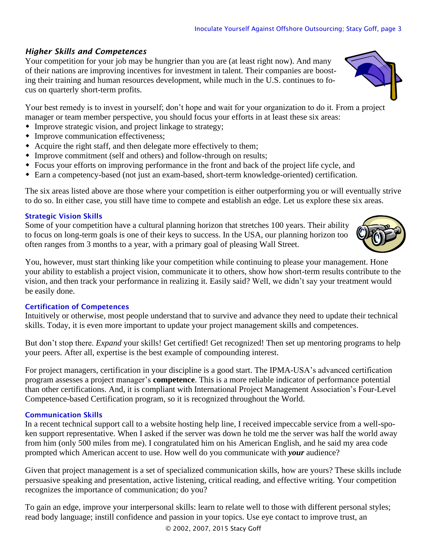# *Higher Skills and Competences*

Your competition for your job may be hungrier than you are (at least right now). And many of their nations are improving incentives for investment in talent. Their companies are boosting their training and human resources development, while much in the U.S. continues to focus on quarterly short-term profits.

Your best remedy is to invest in yourself; don't hope and wait for your organization to do it. From a project manager or team member perspective, you should focus your efforts in at least these six areas:

- Improve strategic vision, and project linkage to strategy;
- Improve communication effectiveness;
- Acquire the right staff, and then delegate more effectively to them;
- Improve commitment (self and others) and follow-through on results;
- Focus your efforts on improving performance in the front and back of the project life cycle, and
- Earn a competency-based (not just an exam-based, short-term knowledge-oriented) certification.

The six areas listed above are those where your competition is either outperforming you or will eventually strive to do so. In either case, you still have time to compete and establish an edge. Let us explore these six areas.

#### Strategic Vision Skills

Some of your competition have a cultural planning horizon that stretches 100 years. Their ability to focus on long-term goals is one of their keys to success. In the USA, our planning horizon too often ranges from 3 months to a year, with a primary goal of pleasing Wall Street.

You, however, must start thinking like your competition while continuing to please your management. Hone your ability to establish a project vision, communicate it to others, show how short-term results contribute to the vision, and then track your performance in realizing it. Easily said? Well, we didn't say your treatment would be easily done.

# Certification of Competences

Intuitively or otherwise, most people understand that to survive and advance they need to update their technical skills. Today, it is even more important to update your project management skills and competences.

But don't stop there. *Expand* your skills! Get certified! Get recognized! Then set up mentoring programs to help your peers. After all, expertise is the best example of compounding interest.

For project managers, certification in your discipline is a good start. The IPMA-USA's advanced certification program assesses a project manager's **competence**. This is a more reliable indicator of performance potential than other certifications. And, it is compliant with International Project Management Association's Four-Level Competence-based Certification program, so it is recognized throughout the World.

# Communication Skills

In a recent technical support call to a website hosting help line, I received impeccable service from a well-spoken support representative. When I asked if the server was down he told me the server was half the world away from him (only 500 miles from me). I congratulated him on his American English, and he said my area code prompted which American accent to use. How well do you communicate with *your* audience?

Given that project management is a set of specialized communication skills, how are yours? These skills include persuasive speaking and presentation, active listening, critical reading, and effective writing. Your competition recognizes the importance of communication; do you?

To gain an edge, improve your interpersonal skills: learn to relate well to those with different personal styles; read body language; instill confidence and passion in your topics. Use eye contact to improve trust, an



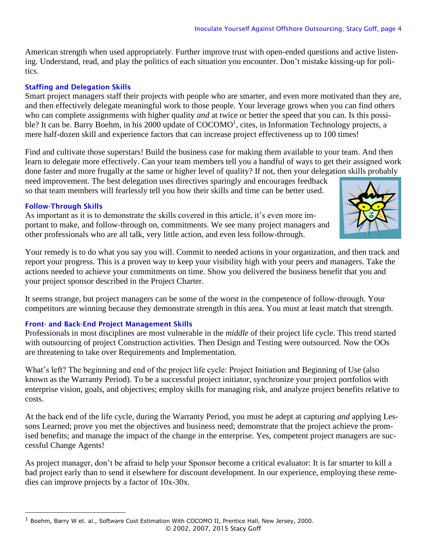American strength when used appropriately. Further improve trust with open-ended questions and active listening. Understand, read, and play the politics of each situation you encounter. Don't mistake kissing-up for politics.

# Staffing and Delegation Skills

Smart project managers staff their projects with people who are smarter, and even more motivated than they are, and then effectively delegate meaningful work to those people. Your leverage grows when you can find others who can complete assignments with higher quality *and* at twice or better the speed that you can. Is this possible? It can be. Barry Boehm, in his 2000 update of COCOMO<sup>1</sup>, cites, in Information Technology projects, a mere half-dozen skill and experience factors that can increase project effectiveness up to 100 times!

Find and cultivate those superstars! Build the business case for making them available to your team. And then learn to delegate more effectively. Can your team members tell you a handful of ways to get their assigned work done faster and more frugally at the same or higher level of quality? If not, then your delegation skills probably

need improvement. The best delegation uses directives sparingly and encourages feedback so that team members will fearlessly tell you how their skills and time can be better used.

# Follow-Through Skills

As important as it is to demonstrate the skills covered in this article, it's even more important to make, and follow-through on, commitments. We see many project managers and other professionals who are all talk, very little action, and even less follow-through.



Your remedy is to do what you say you will. Commit to needed actions in your organization, and then track and report your progress. This is a proven way to keep your visibility high with your peers and managers. Take the actions needed to achieve your commitments on time. Show you delivered the business benefit that you and your project sponsor described in the Project Charter.

It seems strange, but project managers can be some of the worst in the competence of follow-through. Your competitors are winning because they demonstrate strength in this area. You must at least match that strength.

# Front- and Back-End Project Management Skills

Professionals in most disciplines are most vulnerable in the *middle* of their project life cycle. This trend started with outsourcing of project Construction activities. Then Design and Testing were outsourced. Now the OOs are threatening to take over Requirements and Implementation.

What's left? The beginning and end of the project life cycle: Project Initiation and Beginning of Use (also known as the Warranty Period). To be a successful project initiator, synchronize your project portfolios with enterprise vision, goals, and objectives; employ skills for managing risk, and analyze project benefits relative to costs.

At the back end of the life cycle, during the Warranty Period, you must be adept at capturing *and* applying Lessons Learned; prove you met the objectives and business need; demonstrate that the project achieve the promised benefits; and manage the impact of the change in the enterprise. Yes, competent project managers are successful Change Agents!

As project manager, don't be afraid to help your Sponsor become a critical evaluator: It is far smarter to kill a bad project early than to send it elsewhere for discount development. In our experience, employing these remedies can improve projects by a factor of 10x-30x.

<sup>© 2002, 2007, 2015</sup> Stacy Goff  $<sup>1</sup>$  Boehm, Barry W et. al., Software Cost Estimation With COCOMO II, Prentice Hall, New Jersey, 2000.</sup>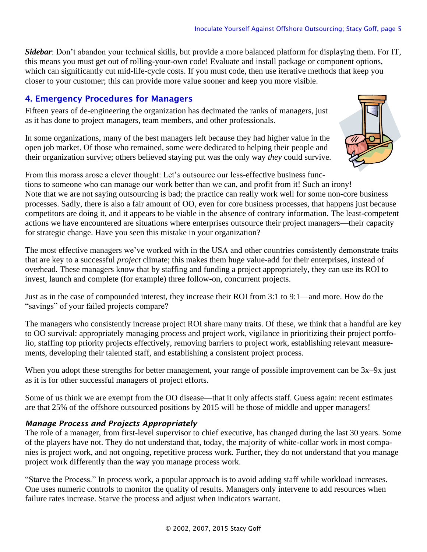*Sidebar*: Don't abandon your technical skills, but provide a more balanced platform for displaying them. For IT, this means you must get out of rolling-your-own code! Evaluate and install package or component options, which can significantly cut mid-life-cycle costs. If you must code, then use iterative methods that keep you closer to your customer; this can provide more value sooner and keep you more visible.

# 4. Emergency Procedures for Managers

Fifteen years of de-engineering the organization has decimated the ranks of managers, just as it has done to project managers, team members, and other professionals.

In some organizations, many of the best managers left because they had higher value in the open job market. Of those who remained, some were dedicated to helping their people and their organization survive; others believed staying put was the only way *they* could survive.



From this morass arose a clever thought: Let's outsource our less-effective business functions to someone who can manage our work better than we can, and profit from it! Such an irony! Note that we are not saying outsourcing is bad; the practice can really work well for some non-core business processes. Sadly, there is also a fair amount of OO, even for core business processes, that happens just because competitors are doing it, and it appears to be viable in the absence of contrary information. The least-competent actions we have encountered are situations where enterprises outsource their project managers—their capacity for strategic change. Have you seen this mistake in your organization?

The most effective managers we've worked with in the USA and other countries consistently demonstrate traits that are key to a successful *project* climate; this makes them huge value-add for their enterprises, instead of overhead. These managers know that by staffing and funding a project appropriately, they can use its ROI to invest, launch and complete (for example) three follow-on, concurrent projects.

Just as in the case of compounded interest, they increase their ROI from 3:1 to 9:1—and more. How do the "savings" of your failed projects compare?

The managers who consistently increase project ROI share many traits. Of these, we think that a handful are key to OO survival: appropriately managing process and project work, vigilance in prioritizing their project portfolio, staffing top priority projects effectively, removing barriers to project work, establishing relevant measurements, developing their talented staff, and establishing a consistent project process.

When you adopt these strengths for better management, your range of possible improvement can be  $3x-9x$  just as it is for other successful managers of project efforts.

Some of us think we are exempt from the OO disease—that it only affects staff. Guess again: recent estimates are that 25% of the offshore outsourced positions by 2015 will be those of middle and upper managers!

# *Manage Process and Projects Appropriately*

The role of a manager, from first-level supervisor to chief executive, has changed during the last 30 years. Some of the players have not. They do not understand that, today, the majority of white-collar work in most companies is project work, and not ongoing, repetitive process work. Further, they do not understand that you manage project work differently than the way you manage process work.

"Starve the Process." In process work, a popular approach is to avoid adding staff while workload increases. One uses numeric controls to monitor the quality of results. Managers only intervene to add resources when failure rates increase. Starve the process and adjust when indicators warrant.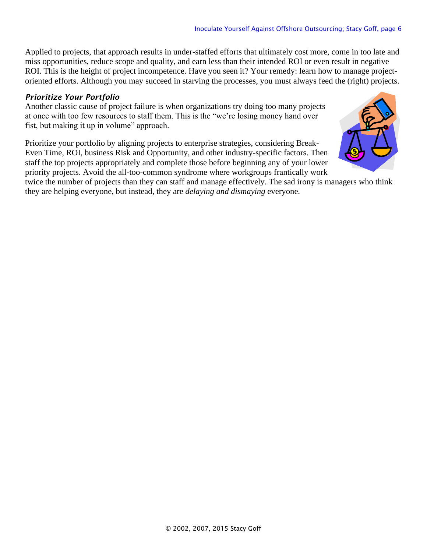Applied to projects, that approach results in under-staffed efforts that ultimately cost more, come in too late and miss opportunities, reduce scope and quality, and earn less than their intended ROI or even result in negative ROI. This is the height of project incompetence. Have you seen it? Your remedy: learn how to manage projectoriented efforts. Although you may succeed in starving the processes, you must always feed the (right) projects.

# *Prioritize Your Portfolio*

Another classic cause of project failure is when organizations try doing too many projects at once with too few resources to staff them. This is the "we're losing money hand over fist, but making it up in volume" approach.

Prioritize your portfolio by aligning projects to enterprise strategies, considering Break-Even Time, ROI, business Risk and Opportunity, and other industry-specific factors. Then staff the top projects appropriately and complete those before beginning any of your lower priority projects. Avoid the all-too-common syndrome where workgroups frantically work



twice the number of projects than they can staff and manage effectively. The sad irony is managers who think they are helping everyone, but instead, they are *delaying and dismaying* everyone.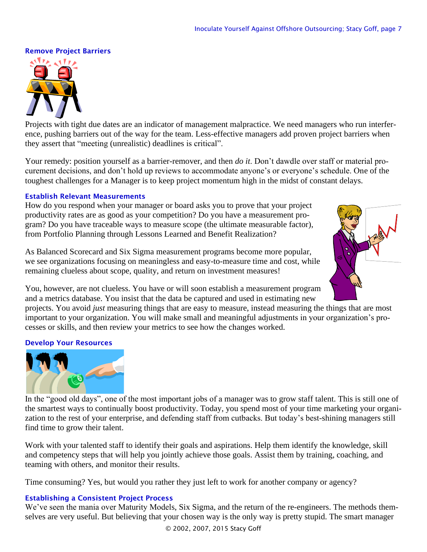#### Remove Project Barriers



Projects with tight due dates are an indicator of management malpractice. We need managers who run interference, pushing barriers out of the way for the team. Less-effective managers add proven project barriers when they assert that "meeting (unrealistic) deadlines is critical".

Your remedy: position yourself as a barrier-remover, and then *do it*. Don't dawdle over staff or material procurement decisions, and don't hold up reviews to accommodate anyone's or everyone's schedule. One of the toughest challenges for a Manager is to keep project momentum high in the midst of constant delays.

#### Establish Relevant Measurements

How do you respond when your manager or board asks you to prove that your project productivity rates are as good as your competition? Do you have a measurement program? Do you have traceable ways to measure scope (the ultimate measurable factor), from Portfolio Planning through Lessons Learned and Benefit Realization?

As Balanced Scorecard and Six Sigma measurement programs become more popular, we see organizations focusing on meaningless and easy-to-measure time and cost, while remaining clueless about scope, quality, and return on investment measures!



You, however, are not clueless. You have or will soon establish a measurement program and a metrics database. You insist that the data be captured and used in estimating new

projects. You avoid *just* measuring things that are easy to measure, instead measuring the things that are most important to your organization. You will make small and meaningful adjustments in your organization's processes or skills, and then review your metrics to see how the changes worked.

#### Develop Your Resources



In the "good old days", one of the most important jobs of a manager was to grow staff talent. This is still one of the smartest ways to continually boost productivity. Today, you spend most of your time marketing your organization to the rest of your enterprise, and defending staff from cutbacks. But today's best-shining managers still find time to grow their talent.

Work with your talented staff to identify their goals and aspirations. Help them identify the knowledge, skill and competency steps that will help you jointly achieve those goals. Assist them by training, coaching, and teaming with others, and monitor their results.

Time consuming? Yes, but would you rather they just left to work for another company or agency?

#### Establishing a Consistent Project Process

We've seen the mania over Maturity Models, Six Sigma, and the return of the re-engineers. The methods themselves are very useful. But believing that your chosen way is the only way is pretty stupid. The smart manager

© 2002, 2007, 2015 Stacy Goff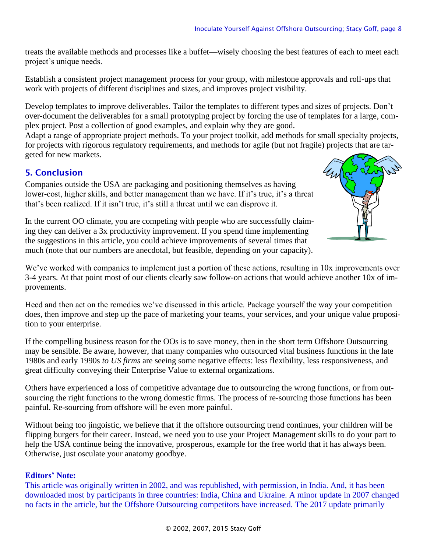treats the available methods and processes like a buffet—wisely choosing the best features of each to meet each project's unique needs.

Establish a consistent project management process for your group, with milestone approvals and roll-ups that work with projects of different disciplines and sizes, and improves project visibility.

Develop templates to improve deliverables. Tailor the templates to different types and sizes of projects. Don't over-document the deliverables for a small prototyping project by forcing the use of templates for a large, complex project. Post a collection of good examples, and explain why they are good.

Adapt a range of appropriate project methods. To your project toolkit, add methods for small specialty projects, for projects with rigorous regulatory requirements, and methods for agile (but not fragile) projects that are targeted for new markets.

# 5. Conclusion

Companies outside the USA are packaging and positioning themselves as having lower-cost, higher skills, and better management than we have. If it's true, it's a threat that's been realized. If it isn't true, it's still a threat until we can disprove it.



In the current OO climate, you are competing with people who are successfully claiming they can deliver a 3x productivity improvement. If you spend time implementing the suggestions in this article, you could achieve improvements of several times that much (note that our numbers are anecdotal, but feasible, depending on your capacity).

We've worked with companies to implement just a portion of these actions, resulting in 10x improvements over 3-4 years. At that point most of our clients clearly saw follow-on actions that would achieve another 10x of improvements.

Heed and then act on the remedies we've discussed in this article. Package yourself the way your competition does, then improve and step up the pace of marketing your teams, your services, and your unique value proposition to your enterprise.

If the compelling business reason for the OOs is to save money, then in the short term Offshore Outsourcing may be sensible. Be aware, however, that many companies who outsourced vital business functions in the late 1980s and early 1990s *to US firms* are seeing some negative effects: less flexibility, less responsiveness, and great difficulty conveying their Enterprise Value to external organizations.

Others have experienced a loss of competitive advantage due to outsourcing the wrong functions, or from outsourcing the right functions to the wrong domestic firms. The process of re-sourcing those functions has been painful. Re-sourcing from offshore will be even more painful.

Without being too jingoistic, we believe that if the offshore outsourcing trend continues, your children will be flipping burgers for their career. Instead, we need you to use your Project Management skills to do your part to help the USA continue being the innovative, prosperous, example for the free world that it has always been. Otherwise, just osculate your anatomy goodbye.

# **Editors' Note:**

This article was originally written in 2002, and was republished, with permission, in India. And, it has been downloaded most by participants in three countries: India, China and Ukraine. A minor update in 2007 changed no facts in the article, but the Offshore Outsourcing competitors have increased. The 2017 update primarily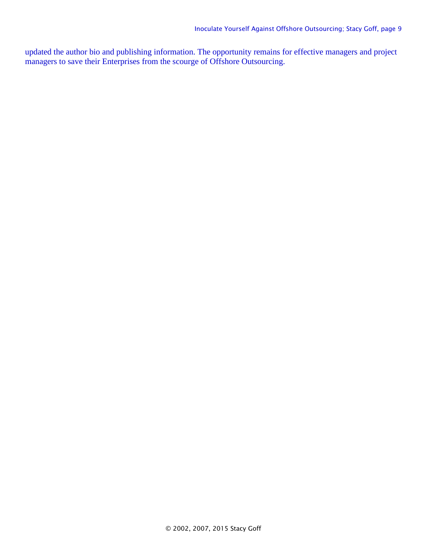updated the author bio and publishing information. The opportunity remains for effective managers and project managers to save their Enterprises from the scourge of Offshore Outsourcing.